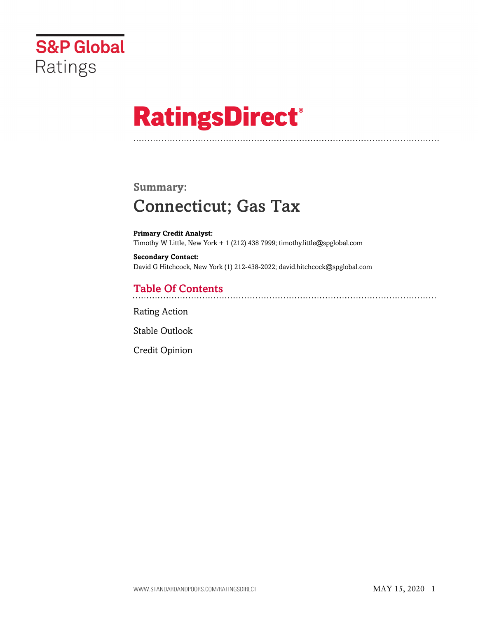

# **RatingsDirect®**

# **Summary:** Connecticut; Gas Tax

**Primary Credit Analyst:** Timothy W Little, New York + 1 (212) 438 7999; timothy.little@spglobal.com

**Secondary Contact:** David G Hitchcock, New York (1) 212-438-2022; david.hitchcock@spglobal.com

# Table Of Contents

[Rating Action](#page-1-0)

[Stable Outlook](#page-3-0)

[Credit Opinion](#page-3-1)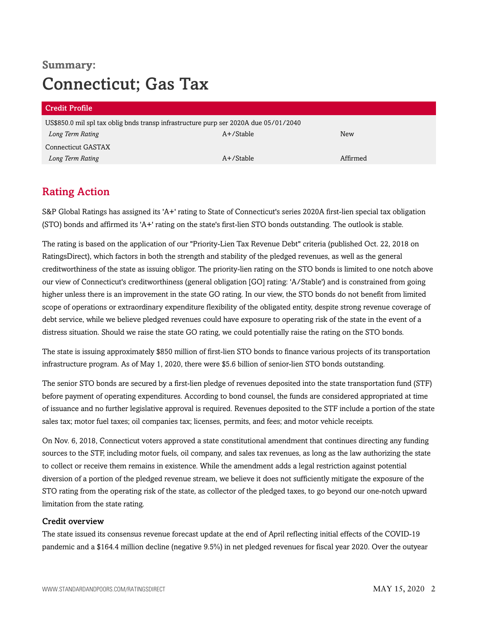# **Summary:** Connecticut; Gas Tax

| <b>Credit Profile</b>                                                                |              |          |  |  |
|--------------------------------------------------------------------------------------|--------------|----------|--|--|
| US\$850.0 mil spl tax oblig bnds transp infrastructure purp ser 2020A due 05/01/2040 |              |          |  |  |
| Long Term Rating                                                                     | $A+$ /Stable | New      |  |  |
| Connecticut GASTAX                                                                   |              |          |  |  |
| Long Term Rating                                                                     | $A+$ /Stable | Affirmed |  |  |

## <span id="page-1-0"></span>Rating Action

S&P Global Ratings has assigned its 'A+' rating to State of Connecticut's series 2020A first-lien special tax obligation (STO) bonds and affirmed its 'A+' rating on the state's first-lien STO bonds outstanding. The outlook is stable.

The rating is based on the application of our "Priority-Lien Tax Revenue Debt" criteria (published Oct. 22, 2018 on RatingsDirect), which factors in both the strength and stability of the pledged revenues, as well as the general creditworthiness of the state as issuing obligor. The priority-lien rating on the STO bonds is limited to one notch above our view of Connecticut's creditworthiness (general obligation [GO] rating: 'A/Stable') and is constrained from going higher unless there is an improvement in the state GO rating. In our view, the STO bonds do not benefit from limited scope of operations or extraordinary expenditure flexibility of the obligated entity, despite strong revenue coverage of debt service, while we believe pledged revenues could have exposure to operating risk of the state in the event of a distress situation. Should we raise the state GO rating, we could potentially raise the rating on the STO bonds.

The state is issuing approximately \$850 million of first-lien STO bonds to finance various projects of its transportation infrastructure program. As of May 1, 2020, there were \$5.6 billion of senior-lien STO bonds outstanding.

The senior STO bonds are secured by a first-lien pledge of revenues deposited into the state transportation fund (STF) before payment of operating expenditures. According to bond counsel, the funds are considered appropriated at time of issuance and no further legislative approval is required. Revenues deposited to the STF include a portion of the state sales tax; motor fuel taxes; oil companies tax; licenses, permits, and fees; and motor vehicle receipts.

On Nov. 6, 2018, Connecticut voters approved a state constitutional amendment that continues directing any funding sources to the STF, including motor fuels, oil company, and sales tax revenues, as long as the law authorizing the state to collect or receive them remains in existence. While the amendment adds a legal restriction against potential diversion of a portion of the pledged revenue stream, we believe it does not sufficiently mitigate the exposure of the STO rating from the operating risk of the state, as collector of the pledged taxes, to go beyond our one-notch upward limitation from the state rating.

#### Credit overview

The state issued its consensus revenue forecast update at the end of April reflecting initial effects of the COVID-19 pandemic and a \$164.4 million decline (negative 9.5%) in net pledged revenues for fiscal year 2020. Over the outyear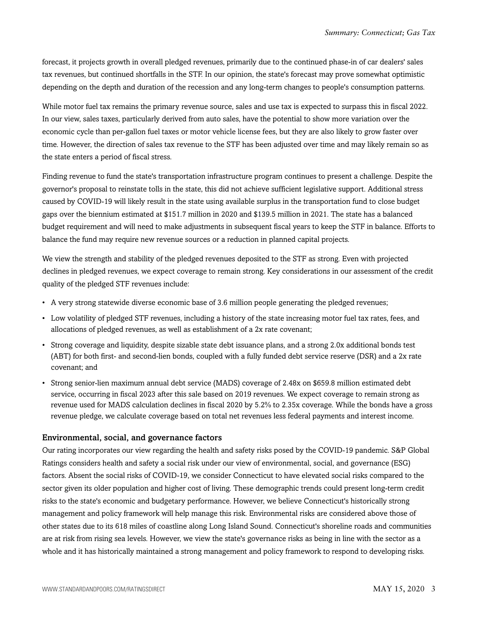forecast, it projects growth in overall pledged revenues, primarily due to the continued phase-in of car dealers' sales tax revenues, but continued shortfalls in the STF. In our opinion, the state's forecast may prove somewhat optimistic depending on the depth and duration of the recession and any long-term changes to people's consumption patterns.

While motor fuel tax remains the primary revenue source, sales and use tax is expected to surpass this in fiscal 2022. In our view, sales taxes, particularly derived from auto sales, have the potential to show more variation over the economic cycle than per-gallon fuel taxes or motor vehicle license fees, but they are also likely to grow faster over time. However, the direction of sales tax revenue to the STF has been adjusted over time and may likely remain so as the state enters a period of fiscal stress.

Finding revenue to fund the state's transportation infrastructure program continues to present a challenge. Despite the governor's proposal to reinstate tolls in the state, this did not achieve sufficient legislative support. Additional stress caused by COVID-19 will likely result in the state using available surplus in the transportation fund to close budget gaps over the biennium estimated at \$151.7 million in 2020 and \$139.5 million in 2021. The state has a balanced budget requirement and will need to make adjustments in subsequent fiscal years to keep the STF in balance. Efforts to balance the fund may require new revenue sources or a reduction in planned capital projects.

We view the strength and stability of the pledged revenues deposited to the STF as strong. Even with projected declines in pledged revenues, we expect coverage to remain strong. Key considerations in our assessment of the credit quality of the pledged STF revenues include:

- A very strong statewide diverse economic base of 3.6 million people generating the pledged revenues;
- Low volatility of pledged STF revenues, including a history of the state increasing motor fuel tax rates, fees, and allocations of pledged revenues, as well as establishment of a 2x rate covenant;
- Strong coverage and liquidity, despite sizable state debt issuance plans, and a strong 2.0x additional bonds test (ABT) for both first- and second-lien bonds, coupled with a fully funded debt service reserve (DSR) and a 2x rate covenant; and
- Strong senior-lien maximum annual debt service (MADS) coverage of 2.48x on \$659.8 million estimated debt service, occurring in fiscal 2023 after this sale based on 2019 revenues. We expect coverage to remain strong as revenue used for MADS calculation declines in fiscal 2020 by 5.2% to 2.35x coverage. While the bonds have a gross revenue pledge, we calculate coverage based on total net revenues less federal payments and interest income.

#### Environmental, social, and governance factors

Our rating incorporates our view regarding the health and safety risks posed by the COVID-19 pandemic. S&P Global Ratings considers health and safety a social risk under our view of environmental, social, and governance (ESG) factors. Absent the social risks of COVID-19, we consider Connecticut to have elevated social risks compared to the sector given its older population and higher cost of living. These demographic trends could present long-term credit risks to the state's economic and budgetary performance. However, we believe Connecticut's historically strong management and policy framework will help manage this risk. Environmental risks are considered above those of other states due to its 618 miles of coastline along Long Island Sound. Connecticut's shoreline roads and communities are at risk from rising sea levels. However, we view the state's governance risks as being in line with the sector as a whole and it has historically maintained a strong management and policy framework to respond to developing risks.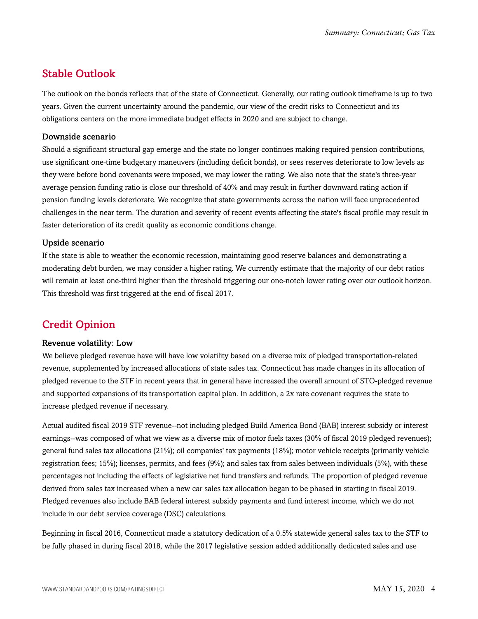## <span id="page-3-0"></span>Stable Outlook

The outlook on the bonds reflects that of the state of Connecticut. Generally, our rating outlook timeframe is up to two years. Given the current uncertainty around the pandemic, our view of the credit risks to Connecticut and its obligations centers on the more immediate budget effects in 2020 and are subject to change.

#### Downside scenario

Should a significant structural gap emerge and the state no longer continues making required pension contributions, use significant one-time budgetary maneuvers (including deficit bonds), or sees reserves deteriorate to low levels as they were before bond covenants were imposed, we may lower the rating. We also note that the state's three-year average pension funding ratio is close our threshold of 40% and may result in further downward rating action if pension funding levels deteriorate. We recognize that state governments across the nation will face unprecedented challenges in the near term. The duration and severity of recent events affecting the state's fiscal profile may result in faster deterioration of its credit quality as economic conditions change.

#### Upside scenario

If the state is able to weather the economic recession, maintaining good reserve balances and demonstrating a moderating debt burden, we may consider a higher rating. We currently estimate that the majority of our debt ratios will remain at least one-third higher than the threshold triggering our one-notch lower rating over our outlook horizon. This threshold was first triggered at the end of fiscal 2017.

### <span id="page-3-1"></span>Credit Opinion

#### Revenue volatility: Low

We believe pledged revenue have will have low volatility based on a diverse mix of pledged transportation-related revenue, supplemented by increased allocations of state sales tax. Connecticut has made changes in its allocation of pledged revenue to the STF in recent years that in general have increased the overall amount of STO-pledged revenue and supported expansions of its transportation capital plan. In addition, a 2x rate covenant requires the state to increase pledged revenue if necessary.

Actual audited fiscal 2019 STF revenue--not including pledged Build America Bond (BAB) interest subsidy or interest earnings--was composed of what we view as a diverse mix of motor fuels taxes (30% of fiscal 2019 pledged revenues); general fund sales tax allocations (21%); oil companies' tax payments (18%); motor vehicle receipts (primarily vehicle registration fees; 15%); licenses, permits, and fees (9%); and sales tax from sales between individuals (5%), with these percentages not including the effects of legislative net fund transfers and refunds. The proportion of pledged revenue derived from sales tax increased when a new car sales tax allocation began to be phased in starting in fiscal 2019. Pledged revenues also include BAB federal interest subsidy payments and fund interest income, which we do not include in our debt service coverage (DSC) calculations.

Beginning in fiscal 2016, Connecticut made a statutory dedication of a 0.5% statewide general sales tax to the STF to be fully phased in during fiscal 2018, while the 2017 legislative session added additionally dedicated sales and use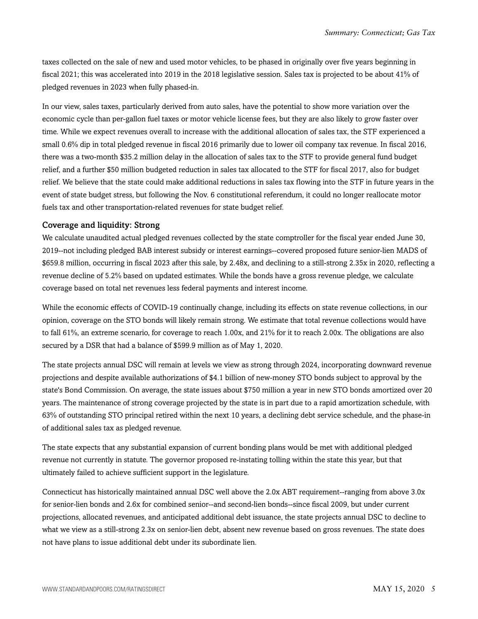taxes collected on the sale of new and used motor vehicles, to be phased in originally over five years beginning in fiscal 2021; this was accelerated into 2019 in the 2018 legislative session. Sales tax is projected to be about 41% of pledged revenues in 2023 when fully phased-in.

In our view, sales taxes, particularly derived from auto sales, have the potential to show more variation over the economic cycle than per-gallon fuel taxes or motor vehicle license fees, but they are also likely to grow faster over time. While we expect revenues overall to increase with the additional allocation of sales tax, the STF experienced a small 0.6% dip in total pledged revenue in fiscal 2016 primarily due to lower oil company tax revenue. In fiscal 2016, there was a two-month \$35.2 million delay in the allocation of sales tax to the STF to provide general fund budget relief, and a further \$50 million budgeted reduction in sales tax allocated to the STF for fiscal 2017, also for budget relief. We believe that the state could make additional reductions in sales tax flowing into the STF in future years in the event of state budget stress, but following the Nov. 6 constitutional referendum, it could no longer reallocate motor fuels tax and other transportation-related revenues for state budget relief.

#### Coverage and liquidity: Strong

We calculate unaudited actual pledged revenues collected by the state comptroller for the fiscal year ended June 30, 2019--not including pledged BAB interest subsidy or interest earnings--covered proposed future senior-lien MADS of \$659.8 million, occurring in fiscal 2023 after this sale, by 2.48x, and declining to a still-strong 2.35x in 2020, reflecting a revenue decline of 5.2% based on updated estimates. While the bonds have a gross revenue pledge, we calculate coverage based on total net revenues less federal payments and interest income.

While the economic effects of COVID-19 continually change, including its effects on state revenue collections, in our opinion, coverage on the STO bonds will likely remain strong. We estimate that total revenue collections would have to fall 61%, an extreme scenario, for coverage to reach 1.00x, and 21% for it to reach 2.00x. The obligations are also secured by a DSR that had a balance of \$599.9 million as of May 1, 2020.

The state projects annual DSC will remain at levels we view as strong through 2024, incorporating downward revenue projections and despite available authorizations of \$4.1 billion of new-money STO bonds subject to approval by the state's Bond Commission. On average, the state issues about \$750 million a year in new STO bonds amortized over 20 years. The maintenance of strong coverage projected by the state is in part due to a rapid amortization schedule, with 63% of outstanding STO principal retired within the next 10 years, a declining debt service schedule, and the phase-in of additional sales tax as pledged revenue.

The state expects that any substantial expansion of current bonding plans would be met with additional pledged revenue not currently in statute. The governor proposed re-instating tolling within the state this year, but that ultimately failed to achieve sufficient support in the legislature.

Connecticut has historically maintained annual DSC well above the 2.0x ABT requirement--ranging from above 3.0x for senior-lien bonds and 2.6x for combined senior--and second-lien bonds--since fiscal 2009, but under current projections, allocated revenues, and anticipated additional debt issuance, the state projects annual DSC to decline to what we view as a still-strong 2.3x on senior-lien debt, absent new revenue based on gross revenues. The state does not have plans to issue additional debt under its subordinate lien.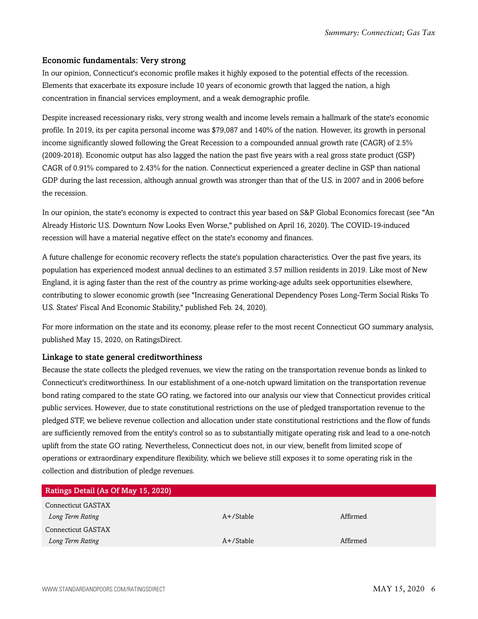#### Economic fundamentals: Very strong

In our opinion, Connecticut's economic profile makes it highly exposed to the potential effects of the recession. Elements that exacerbate its exposure include 10 years of economic growth that lagged the nation, a high concentration in financial services employment, and a weak demographic profile.

Despite increased recessionary risks, very strong wealth and income levels remain a hallmark of the state's economic profile. In 2019, its per capita personal income was \$79,087 and 140% of the nation. However, its growth in personal income significantly slowed following the Great Recession to a compounded annual growth rate (CAGR) of 2.5% (2009-2018). Economic output has also lagged the nation the past five years with a real gross state product (GSP) CAGR of 0.91% compared to 2.43% for the nation. Connecticut experienced a greater decline in GSP than national GDP during the last recession, although annual growth was stronger than that of the U.S. in 2007 and in 2006 before the recession.

In our opinion, the state's economy is expected to contract this year based on S&P Global Economics forecast (see "An Already Historic U.S. Downturn Now Looks Even Worse," published on April 16, 2020). The COVID-19-induced recession will have a material negative effect on the state's economy and finances.

A future challenge for economic recovery reflects the state's population characteristics. Over the past five years, its population has experienced modest annual declines to an estimated 3.57 million residents in 2019. Like most of New England, it is aging faster than the rest of the country as prime working-age adults seek opportunities elsewhere, contributing to slower economic growth (see "Increasing Generational Dependency Poses Long-Term Social Risks To U.S. States' Fiscal And Economic Stability," published Feb. 24, 2020).

For more information on the state and its economy, please refer to the most recent Connecticut GO summary analysis, published May 15, 2020, on RatingsDirect.

#### Linkage to state general creditworthiness

Because the state collects the pledged revenues, we view the rating on the transportation revenue bonds as linked to Connecticut's creditworthiness. In our establishment of a one-notch upward limitation on the transportation revenue bond rating compared to the state GO rating, we factored into our analysis our view that Connecticut provides critical public services. However, due to state constitutional restrictions on the use of pledged transportation revenue to the pledged STF, we believe revenue collection and allocation under state constitutional restrictions and the flow of funds are sufficiently removed from the entity's control so as to substantially mitigate operating risk and lead to a one-notch uplift from the state GO rating. Nevertheless, Connecticut does not, in our view, benefit from limited scope of operations or extraordinary expenditure flexibility, which we believe still exposes it to some operating risk in the collection and distribution of pledge revenues.

| Ratings Detail (As Of May 15, 2020) |              |          |
|-------------------------------------|--------------|----------|
| Connecticut GASTAX                  |              |          |
| Long Term Rating                    | $A+$ /Stable | Affirmed |
| Connecticut GASTAX                  |              |          |
| Long Term Rating                    | $A+$ /Stable | Affirmed |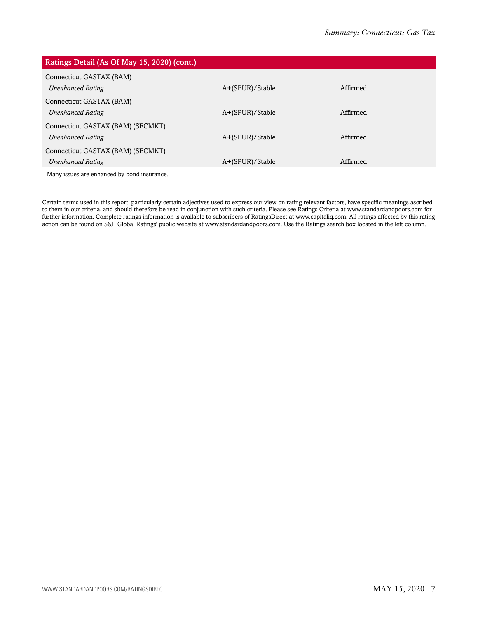| Ratings Detail (As Of May 15, 2020) (cont.)                   |                 |          |
|---------------------------------------------------------------|-----------------|----------|
| Connecticut GASTAX (BAM)<br><b>Unenhanced Rating</b>          | A+(SPUR)/Stable | Affirmed |
| Connecticut GASTAX (BAM)<br><b>Unenhanced Rating</b>          | A+(SPUR)/Stable | Affirmed |
| Connecticut GASTAX (BAM) (SECMKT)<br><b>Unenhanced Rating</b> | A+(SPUR)/Stable | Affirmed |
| Connecticut GASTAX (BAM) (SECMKT)<br><b>Unenhanced Rating</b> | A+(SPUR)/Stable | Affirmed |
| Many issues are enhanced by bond insurance.                   |                 |          |

Certain terms used in this report, particularly certain adjectives used to express our view on rating relevant factors, have specific meanings ascribed to them in our criteria, and should therefore be read in conjunction with such criteria. Please see Ratings Criteria at www.standardandpoors.com for further information. Complete ratings information is available to subscribers of RatingsDirect at www.capitaliq.com. All ratings affected by this rating action can be found on S&P Global Ratings' public website at www.standardandpoors.com. Use the Ratings search box located in the left column.